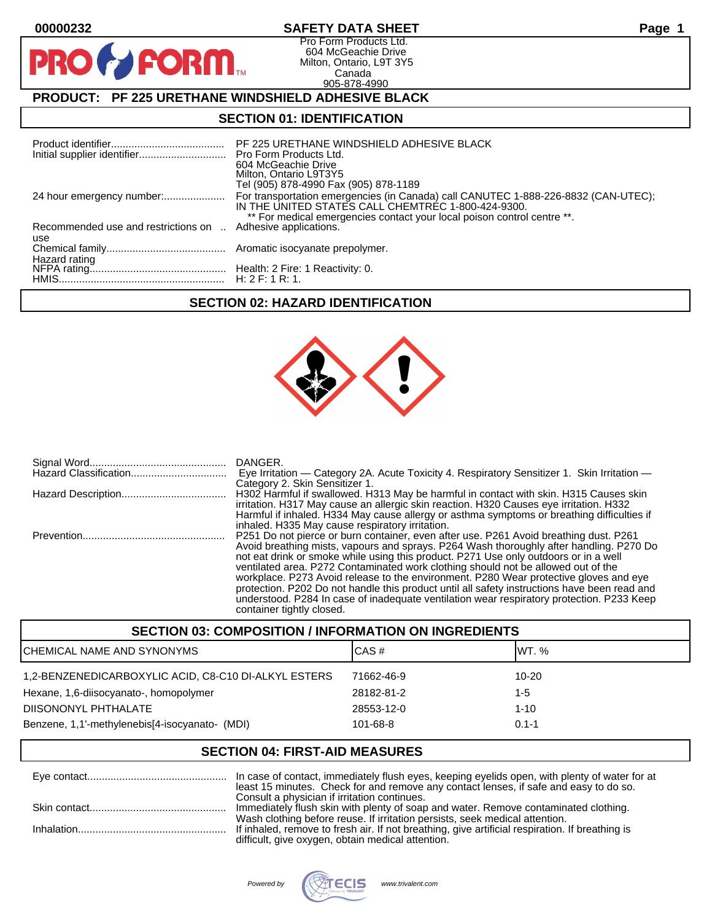$\mathbf O$ 

PR

# **00000232 SAFETY DATA SHEET Page 1**

Pro Form Products Ltd. 604 McGeachie Drive Milton, Ontario, L9T 3Y5 Canada 905-878-4990

# **PRODUCT: PF 225 URETHANE WINDSHIELD ADHESIVE BLACK**

**FORM** 

### **SECTION 01: IDENTIFICATION**

| Initial supplier identifier Pro Form Products Ltd. | PF 225 URETHANE WINDSHIELD ADHESIVE BLACK<br>604 McGeachie Drive<br>Milton, Ontario L9T3Y5<br>Tel (905) 878-4990 Fax (905) 878-1189                                                                                 |
|----------------------------------------------------|---------------------------------------------------------------------------------------------------------------------------------------------------------------------------------------------------------------------|
| 24 hour emergency number:                          | For transportation emergencies (in Canada) call CANUTEC 1-888-226-8832 (CAN-UTEC);<br>IN THE UNITED STATES CALL CHEMTREC 1-800-424-9300.<br>** For medical emergencies contact your local poison control centre **. |
| Recommended use and restrictions on                | Adhesive applications.                                                                                                                                                                                              |
| use                                                |                                                                                                                                                                                                                     |
|                                                    |                                                                                                                                                                                                                     |
|                                                    |                                                                                                                                                                                                                     |
|                                                    |                                                                                                                                                                                                                     |
|                                                    |                                                                                                                                                                                                                     |

# **SECTION 02: HAZARD IDENTIFICATION**



| DANGER.<br>Eye Irritation — Category 2A. Acute Toxicity 4. Respiratory Sensitizer 1. Skin Irritation —<br>Category 2. Skin Sensitizer 1.                                                                                                                                                                                                                                                                                                                                                                                                                                                                                                                                         |
|----------------------------------------------------------------------------------------------------------------------------------------------------------------------------------------------------------------------------------------------------------------------------------------------------------------------------------------------------------------------------------------------------------------------------------------------------------------------------------------------------------------------------------------------------------------------------------------------------------------------------------------------------------------------------------|
| H302 Harmful if swallowed. H313 May be harmful in contact with skin. H315 Causes skin<br>irritation. H317 May cause an allergic skin reaction. H320 Causes eye irritation. H332<br>Harmful if inhaled. H334 May cause allergy or asthma symptoms or breathing difficulties if<br>inhaled. H335 May cause respiratory irritation.                                                                                                                                                                                                                                                                                                                                                 |
| P251 Do not pierce or burn container, even after use. P261 Avoid breathing dust. P261<br>Avoid breathing mists, vapours and sprays. P264 Wash thoroughly after handling. P270 Do<br>not eat drink or smoke while using this product. P271 Use only outdoors or in a well<br>ventilated area. P272 Contaminated work clothing should not be allowed out of the<br>workplace. P273 Avoid release to the environment. P280 Wear protective gloves and eye<br>protection. P202 Do not handle this product until all safety instructions have been read and<br>understood. P284 In case of inadequate ventilation wear respiratory protection. P233 Keep<br>container tightly closed. |

| <b>SECTION 03: COMPOSITION / INFORMATION ON INGREDIENTS</b> |            |           |
|-------------------------------------------------------------|------------|-----------|
| ICHEMICAL NAME AND SYNONYMS                                 | CAS#       | IWT. %    |
| 1,2-BENZENEDICARBOXYLIC ACID, C8-C10 DI-ALKYL ESTERS        | 71662-46-9 | 10-20     |
| Hexane, 1,6-diisocyanato-, homopolymer                      | 28182-81-2 | 1-5       |
| DIISONONYL PHTHALATE                                        | 28553-12-0 | $1 - 10$  |
| Benzene, 1,1'-methylenebis[4-isocyanato- (MDI)              | 101-68-8   | $0.1 - 1$ |

# **SECTION 04: FIRST-AID MEASURES**

| least 15 minutes. Check for and remove any contact lenses, if safe and easy to do so. |
|---------------------------------------------------------------------------------------|
| Consult a physician if irritation continues.                                          |
| Immediately flush skin with plenty of soap and water. Remove contaminated clothing.   |
| Wash clothing before reuse. If irritation persists, seek medical attention.           |
|                                                                                       |
| difficult, give oxygen, obtain medical attention.                                     |

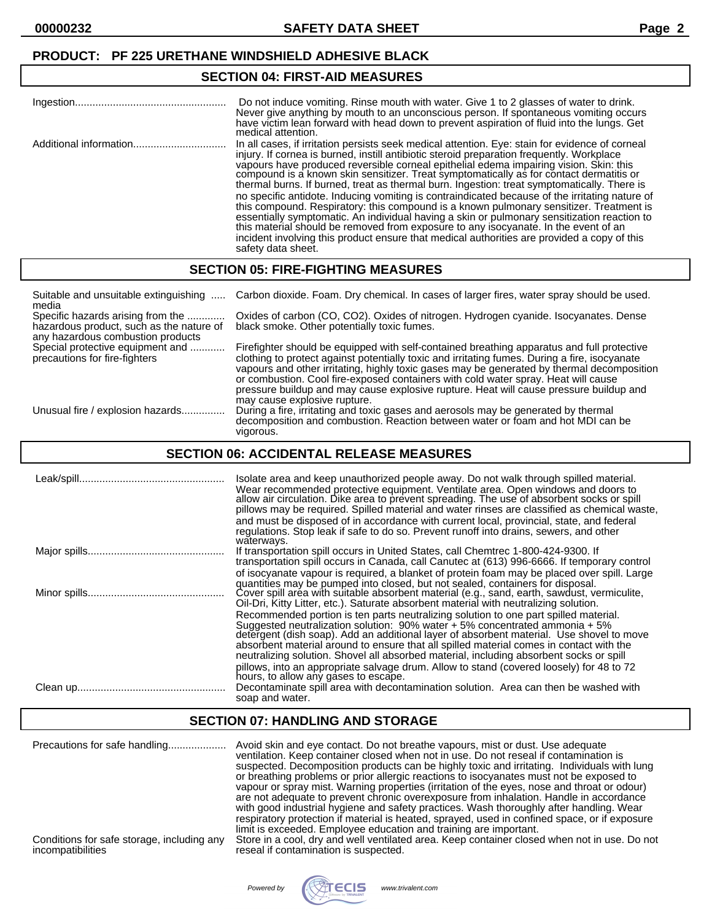## **PRODUCT: PF 225 URETHANE WINDSHIELD ADHESIVE BLACK**

# **SECTION 04: FIRST-AID MEASURES**

| Ingestion | Do not induce vomiting. Rinse mouth with water. Give 1 to 2 glasses of water to drink.<br>Never give anything by mouth to an unconscious person. If spontaneous vomiting occurs<br>have victim lean forward with head down to prevent aspiration of fluid into the lungs. Get<br>medical attention.                                                                                                                                                                                                                                                                                                                                                                                                                                                                                                                                                                                                                                                                                |
|-----------|------------------------------------------------------------------------------------------------------------------------------------------------------------------------------------------------------------------------------------------------------------------------------------------------------------------------------------------------------------------------------------------------------------------------------------------------------------------------------------------------------------------------------------------------------------------------------------------------------------------------------------------------------------------------------------------------------------------------------------------------------------------------------------------------------------------------------------------------------------------------------------------------------------------------------------------------------------------------------------|
|           | In all cases, if irritation persists seek medical attention. Eye: stain for evidence of corneal<br>injury. If cornea is burned, instill antibiotic steroid preparation frequently. Workplace<br>vapours have produced reversible corneal epithelial edema impairing vision. Skin: this compound is a known skin sensitizer. Treat symptomatically as for contact dermatitis or<br>thermal burns. If burned, treat as thermal burn. Ingestion: treat symptomatically. There is<br>no specific antidote. Inducing vomiting is contraindicated because of the irritating nature of<br>this compound. Respiratory: this compound is a known pulmonary sensitizer. Treatment is<br>essentially symptomatic. An individual having a skin or pulmonary sensitization reaction to this material should be removed from exposure to any isocyanate. In the event of an<br>incident involving this product ensure that medical authorities are provided a copy of this<br>safety data sheet. |

# **SECTION 05: FIRE-FIGHTING MEASURES**

| Suitable and unsuitable extinguishing<br>media                                                                     | Carbon dioxide. Foam. Dry chemical. In cases of larger fires, water spray should be used.                                                                                                                                                                                                                                                                                                                                                                                                                 |
|--------------------------------------------------------------------------------------------------------------------|-----------------------------------------------------------------------------------------------------------------------------------------------------------------------------------------------------------------------------------------------------------------------------------------------------------------------------------------------------------------------------------------------------------------------------------------------------------------------------------------------------------|
| Specific hazards arising from the<br>hazardous product, such as the nature of<br>any hazardous combustion products | Oxides of carbon (CO, CO2). Oxides of nitrogen. Hydrogen cyanide. Isocyanates. Dense<br>black smoke. Other potentially toxic fumes.                                                                                                                                                                                                                                                                                                                                                                       |
| Special protective equipment and<br>precautions for fire-fighters                                                  | Firefighter should be equipped with self-contained breathing apparatus and full protective<br>clothing to protect against potentially toxic and irritating fumes. During a fire, isocyanate<br>vapours and other irritating, highly toxic gases may be generated by thermal decomposition<br>or combustion. Cool fire-exposed containers with cold water spray. Heat will cause<br>pressure buildup and may cause explosive rupture. Heat will cause pressure buildup and<br>may cause explosive rupture. |
| Unusual fire / explosion hazards                                                                                   | During a fire, irritating and toxic gases and aerosols may be generated by thermal<br>decomposition and combustion. Reaction between water or foam and hot MDI can be<br>vigorous.                                                                                                                                                                                                                                                                                                                        |

# **SECTION 06: ACCIDENTAL RELEASE MEASURES**

| Isolate area and keep unauthorized people away. Do not walk through spilled material.<br>Wear recommended protective equipment. Ventilate area. Open windows and doors to<br>allow air circulation. Dike area to prevent spreading. The use of absorbent socks or spill<br>pillows may be required. Spilled material and water rinses are classified as chemical waste,<br>and must be disposed of in accordance with current local, provincial, state, and federal<br>regulations. Stop leak if safe to do so. Prevent runoff into drains, sewers, and other<br>waterways.                                                                                                                                                                                                       |
|-----------------------------------------------------------------------------------------------------------------------------------------------------------------------------------------------------------------------------------------------------------------------------------------------------------------------------------------------------------------------------------------------------------------------------------------------------------------------------------------------------------------------------------------------------------------------------------------------------------------------------------------------------------------------------------------------------------------------------------------------------------------------------------|
| If transportation spill occurs in United States, call Chemtrec 1-800-424-9300. If<br>transportation spill occurs in Canada, call Canutec at (613) 996-6666. If temporary control<br>of isocyanate vapour is required, a blanket of protein foam may be placed over spill. Large<br>quantities may be pumped into closed, but not sealed, containers for disposal.                                                                                                                                                                                                                                                                                                                                                                                                                 |
| Cover spill area with suitable absorbent material (e.g., sand, earth, sawdust, vermiculite,<br>Oil-Dri, Kitty Litter, etc.). Saturate absorbent material with neutralizing solution.<br>Recommended portion is ten parts neutralizing solution to one part spilled material.<br>Suggested neutralization solution: 90% water + 5% concentrated ammonia + 5%<br>detergent (dish soap). Add an additional layer of absorbent material. Use shovel to move<br>absorbent material around to ensure that all spilled material comes in contact with the<br>neutralizing solution. Shovel all absorbed material, including absorbent socks or spill<br>pillows, into an appropriate salvage drum. Allow to stand (covered loosely) for 48 to 72<br>hours, to allow any gases to escape. |
| Decontaminate spill area with decontamination solution. Area can then be washed with<br>soap and water.                                                                                                                                                                                                                                                                                                                                                                                                                                                                                                                                                                                                                                                                           |

### **SECTION 07: HANDLING AND STORAGE**

| Precautions for safe handling<br>Conditions for safe storage, including any | Avoid skin and eye contact. Do not breathe vapours, mist or dust. Use adequate<br>ventilation. Keep container closed when not in use. Do not reseal if contamination is<br>suspected. Decomposition products can be highly toxic and irritating. Individuals with lung<br>or breathing problems or prior allergic reactions to isocyanates must not be exposed to<br>vapour or spray mist. Warning properties (irritation of the eyes, nose and throat or odour)<br>are not adequate to prevent chronic overexposure from inhalation. Handle in accordance<br>with good industrial hygiene and safety practices. Wash thoroughly after handling. Wear<br>respiratory protection if material is heated, sprayed, used in confined space, or if exposure<br>limit is exceeded. Employee education and training are important.<br>Store in a cool, dry and well ventilated area. Keep container closed when not in use. Do not |
|-----------------------------------------------------------------------------|-----------------------------------------------------------------------------------------------------------------------------------------------------------------------------------------------------------------------------------------------------------------------------------------------------------------------------------------------------------------------------------------------------------------------------------------------------------------------------------------------------------------------------------------------------------------------------------------------------------------------------------------------------------------------------------------------------------------------------------------------------------------------------------------------------------------------------------------------------------------------------------------------------------------------------|
| incompatibilities                                                           | reseal if contamination is suspected.                                                                                                                                                                                                                                                                                                                                                                                                                                                                                                                                                                                                                                                                                                                                                                                                                                                                                       |

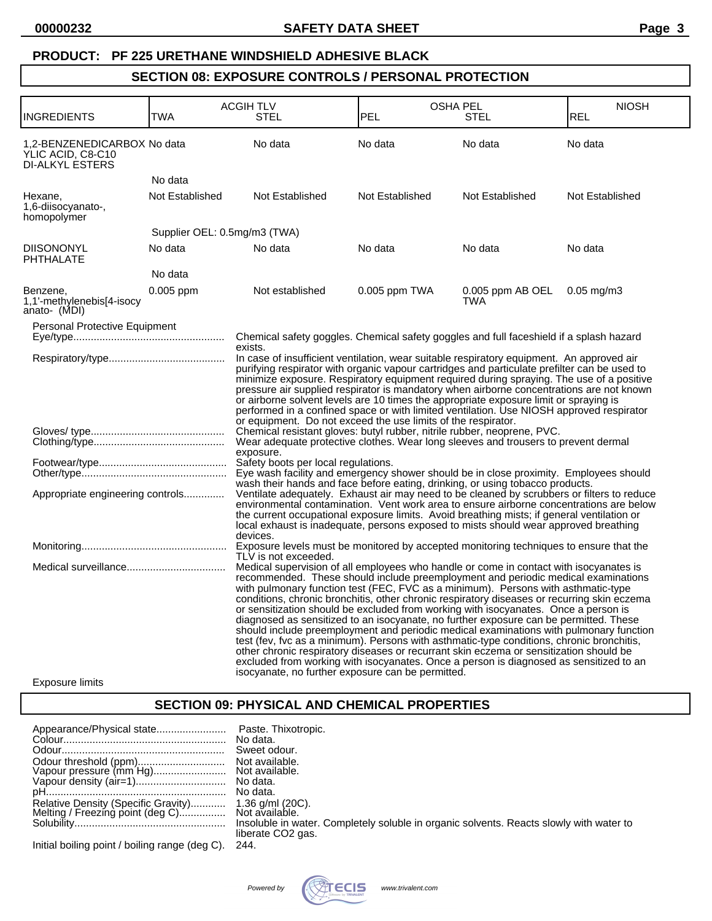### **PRODUCT: PF 225 URETHANE WINDSHIELD ADHESIVE BLACK**

# **SECTION 08: EXPOSURE CONTROLS / PERSONAL PROTECTION**

| TWA             | <b>ACGIH TLV</b><br><b>STEL</b>                                                                  | PEL                                      | <b>OSHA PEL</b><br>STEL        | <b>NIOSH</b>                                                                                                                                                                                                                                                                                                                                                                                                                                                                                                                                                                                                                                                                                                                                                                                                                                                                                                                                                                                                                                                                                                                                                                                                                                                                                                                                                                                                                                                                                                                                                                                                                                                                                                                                                                                                                                                                                                                                                                                                                                                                                                                                                                                                                                                                                                                                                                                                                                     |
|-----------------|--------------------------------------------------------------------------------------------------|------------------------------------------|--------------------------------|--------------------------------------------------------------------------------------------------------------------------------------------------------------------------------------------------------------------------------------------------------------------------------------------------------------------------------------------------------------------------------------------------------------------------------------------------------------------------------------------------------------------------------------------------------------------------------------------------------------------------------------------------------------------------------------------------------------------------------------------------------------------------------------------------------------------------------------------------------------------------------------------------------------------------------------------------------------------------------------------------------------------------------------------------------------------------------------------------------------------------------------------------------------------------------------------------------------------------------------------------------------------------------------------------------------------------------------------------------------------------------------------------------------------------------------------------------------------------------------------------------------------------------------------------------------------------------------------------------------------------------------------------------------------------------------------------------------------------------------------------------------------------------------------------------------------------------------------------------------------------------------------------------------------------------------------------------------------------------------------------------------------------------------------------------------------------------------------------------------------------------------------------------------------------------------------------------------------------------------------------------------------------------------------------------------------------------------------------------------------------------------------------------------------------------------------------|
|                 |                                                                                                  |                                          |                                | <b>REL</b>                                                                                                                                                                                                                                                                                                                                                                                                                                                                                                                                                                                                                                                                                                                                                                                                                                                                                                                                                                                                                                                                                                                                                                                                                                                                                                                                                                                                                                                                                                                                                                                                                                                                                                                                                                                                                                                                                                                                                                                                                                                                                                                                                                                                                                                                                                                                                                                                                                       |
|                 | No data                                                                                          | No data                                  | No data                        | No data                                                                                                                                                                                                                                                                                                                                                                                                                                                                                                                                                                                                                                                                                                                                                                                                                                                                                                                                                                                                                                                                                                                                                                                                                                                                                                                                                                                                                                                                                                                                                                                                                                                                                                                                                                                                                                                                                                                                                                                                                                                                                                                                                                                                                                                                                                                                                                                                                                          |
| No data         |                                                                                                  |                                          |                                |                                                                                                                                                                                                                                                                                                                                                                                                                                                                                                                                                                                                                                                                                                                                                                                                                                                                                                                                                                                                                                                                                                                                                                                                                                                                                                                                                                                                                                                                                                                                                                                                                                                                                                                                                                                                                                                                                                                                                                                                                                                                                                                                                                                                                                                                                                                                                                                                                                                  |
| Not Established | Not Established                                                                                  | Not Established                          | Not Established                | Not Established                                                                                                                                                                                                                                                                                                                                                                                                                                                                                                                                                                                                                                                                                                                                                                                                                                                                                                                                                                                                                                                                                                                                                                                                                                                                                                                                                                                                                                                                                                                                                                                                                                                                                                                                                                                                                                                                                                                                                                                                                                                                                                                                                                                                                                                                                                                                                                                                                                  |
|                 |                                                                                                  |                                          |                                |                                                                                                                                                                                                                                                                                                                                                                                                                                                                                                                                                                                                                                                                                                                                                                                                                                                                                                                                                                                                                                                                                                                                                                                                                                                                                                                                                                                                                                                                                                                                                                                                                                                                                                                                                                                                                                                                                                                                                                                                                                                                                                                                                                                                                                                                                                                                                                                                                                                  |
| No data         | No data                                                                                          | No data                                  | No data                        | No data                                                                                                                                                                                                                                                                                                                                                                                                                                                                                                                                                                                                                                                                                                                                                                                                                                                                                                                                                                                                                                                                                                                                                                                                                                                                                                                                                                                                                                                                                                                                                                                                                                                                                                                                                                                                                                                                                                                                                                                                                                                                                                                                                                                                                                                                                                                                                                                                                                          |
| No data         |                                                                                                  |                                          |                                |                                                                                                                                                                                                                                                                                                                                                                                                                                                                                                                                                                                                                                                                                                                                                                                                                                                                                                                                                                                                                                                                                                                                                                                                                                                                                                                                                                                                                                                                                                                                                                                                                                                                                                                                                                                                                                                                                                                                                                                                                                                                                                                                                                                                                                                                                                                                                                                                                                                  |
| $0.005$ ppm     | Not established                                                                                  | $0.005$ ppm TWA                          | 0.005 ppm AB OEL<br><b>TWA</b> | $0.05 \,\mathrm{mg/m}$                                                                                                                                                                                                                                                                                                                                                                                                                                                                                                                                                                                                                                                                                                                                                                                                                                                                                                                                                                                                                                                                                                                                                                                                                                                                                                                                                                                                                                                                                                                                                                                                                                                                                                                                                                                                                                                                                                                                                                                                                                                                                                                                                                                                                                                                                                                                                                                                                           |
|                 | exists.<br>exposure.                                                                             |                                          |                                |                                                                                                                                                                                                                                                                                                                                                                                                                                                                                                                                                                                                                                                                                                                                                                                                                                                                                                                                                                                                                                                                                                                                                                                                                                                                                                                                                                                                                                                                                                                                                                                                                                                                                                                                                                                                                                                                                                                                                                                                                                                                                                                                                                                                                                                                                                                                                                                                                                                  |
|                 | TLV is not exceeded.                                                                             |                                          |                                |                                                                                                                                                                                                                                                                                                                                                                                                                                                                                                                                                                                                                                                                                                                                                                                                                                                                                                                                                                                                                                                                                                                                                                                                                                                                                                                                                                                                                                                                                                                                                                                                                                                                                                                                                                                                                                                                                                                                                                                                                                                                                                                                                                                                                                                                                                                                                                                                                                                  |
|                 | 1,2-BENZENEDICARBOX No data<br>Personal Protective Equipment<br>Appropriate engineering controls | Supplier OEL: 0.5mg/m3 (TWA)<br>devices. |                                | Chemical safety goggles. Chemical safety goggles and full faceshield if a splash hazard<br>In case of insufficient ventilation, wear suitable respiratory equipment. An approved air<br>purifying respirator with organic vapour cartridges and particulate prefilter can be used to<br>minimize exposure. Respiratory equipment required during spraying. The use of a positive<br>pressure air supplied respirator is mandatory when airborne concentrations are not known<br>or airborne solvent levels are 10 times the appropriate exposure limit or spraying is<br>performed in a confined space or with limited ventilation. Use NIOSH approved respirator<br>or equipment. Do not exceed the use limits of the respirator.<br>Chemical resistant gloves: butyl rubber, nitrile rubber, neoprene, PVC.<br>Wear adequate protective clothes. Wear long sleeves and trousers to prevent dermal<br>wash their hands and face before eating, drinking, or using tobacco products.<br>Ventilate adequately. Exhaust air may need to be cleaned by scrubbers or filters to reduce<br>environmental contamination. Vent work area to ensure airborne concentrations are below<br>the current occupational exposure limits. Avoid breathing mists; if general ventilation or<br>local exhaust is inadequate, persons exposed to mists should wear approved breathing<br>Exposure levels must be monitored by accepted monitoring techniques to ensure that the<br>Medical supervision of all employees who handle or come in contact with isocyanates is<br>recommended. These should include preemployment and periodic medical examinations<br>with pulmonary function test (FEC, FVC as a minimum). Persons with asthmatic-type<br>conditions, chronic bronchitis, other chronic respiratory diseases or recurring skin eczema<br>or sensitization should be excluded from working with isocyanates. Once a person is<br>diagnosed as sensitized to an isocyanate, no further exposure can be permitted. These<br>should include preemployment and periodic medical examinations with pulmonary function<br>test (fev, fvc as a minimum). Persons with asthmatic-type conditions, chronic bronchitis,<br>other chronic respiratory diseases or recurrant skin eczema or sensitization should be<br>excluded from working with isocyanates. Once a person is diagnosed as sensitized to an<br>isocyanate, no further exposure can be permitted. |

#### Exposure limits

# **SECTION 09: PHYSICAL AND CHEMICAL PROPERTIES**

|                                                                                                         | No data.<br>Sweet odour.<br>No data.                                                                                     |
|---------------------------------------------------------------------------------------------------------|--------------------------------------------------------------------------------------------------------------------------|
|                                                                                                         |                                                                                                                          |
|                                                                                                         |                                                                                                                          |
| Relative Density (Specific Gravity) 1.36 g/ml (20C).<br>Melting / Freezing point (deg C) Not available. |                                                                                                                          |
|                                                                                                         |                                                                                                                          |
|                                                                                                         | Insoluble in water. Completely soluble in organic solvents. Reacts slowly with water to<br>liberate CO <sub>2</sub> gas. |
|                                                                                                         | $\sim$ $\sim$                                                                                                            |

Initial boiling point / boiling range (deg C). 244.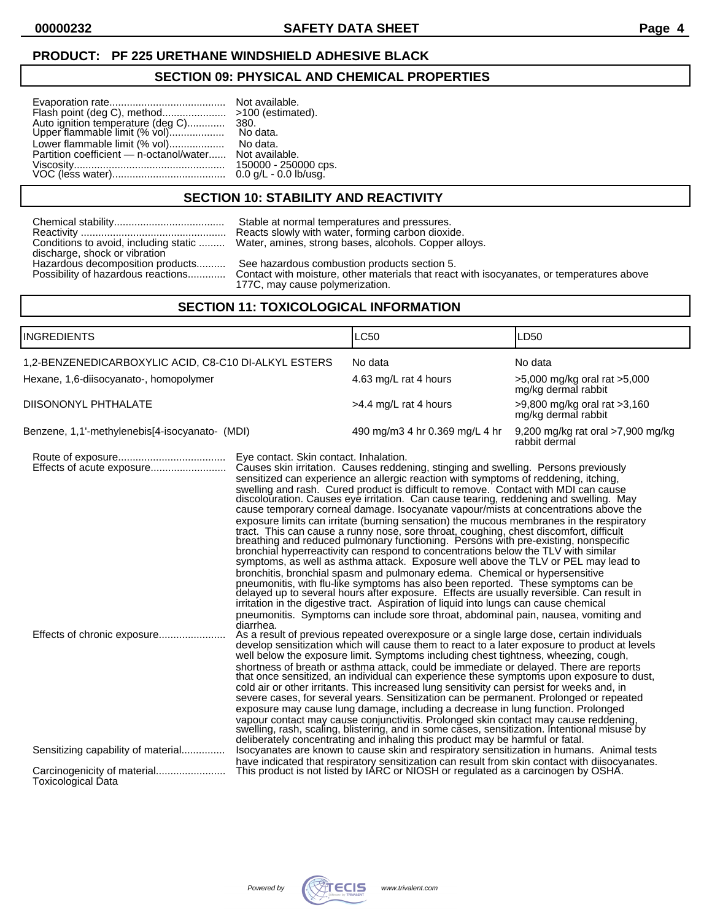### **SECTION 09: PHYSICAL AND CHEMICAL PROPERTIES**

| Flash point (deg C), method<br>Auto ignition temperature (deg C)    380.<br>Upper flammable limit (% vol)     No data. | >100 (estimated).                             |
|------------------------------------------------------------------------------------------------------------------------|-----------------------------------------------|
| Lower flammable limit (% vol)                                                                                          | No data.                                      |
| Partition coefficient — n-octanol/water Not available.                                                                 |                                               |
|                                                                                                                        | 150000 - 250000 cps.<br>0.0 g/L - 0.0 lb/usg. |

No data. No data. Not available.

# **SECTION 10: STABILITY AND REACTIVITY**

| Conditions to avoid, including static |
|---------------------------------------|
| discharge, shock or vibration         |
| Hazardous decomposition products      |
| Possibility of hazardous reactions    |

Stable at normal temperatures and pressures. Reacts slowly with water, forming carbon dioxide. Water, amines, strong bases, alcohols. Copper alloys.

See hazardous combustion products section 5.

Contact with moisture, other materials that react with isocyanates, or temperatures above 177C, may cause polymerization.

# **SECTION 11: TOXICOLOGICAL INFORMATION**

| INGREDIENTS                                    |                                                                            |                                                     | LC50                                                                                                                                                                                                                                                                                                                                                                                                                                                                                                                                                                                                                                                                                                                                                                                                                                                                                                                                                                                                                                                                                                                                                                                                                                                                                                                                                                                                                                                                                                                                                                                                                                                                                                                                                                                                                                                                                                                                                                                                                        | LD50                                                    |  |
|------------------------------------------------|----------------------------------------------------------------------------|-----------------------------------------------------|-----------------------------------------------------------------------------------------------------------------------------------------------------------------------------------------------------------------------------------------------------------------------------------------------------------------------------------------------------------------------------------------------------------------------------------------------------------------------------------------------------------------------------------------------------------------------------------------------------------------------------------------------------------------------------------------------------------------------------------------------------------------------------------------------------------------------------------------------------------------------------------------------------------------------------------------------------------------------------------------------------------------------------------------------------------------------------------------------------------------------------------------------------------------------------------------------------------------------------------------------------------------------------------------------------------------------------------------------------------------------------------------------------------------------------------------------------------------------------------------------------------------------------------------------------------------------------------------------------------------------------------------------------------------------------------------------------------------------------------------------------------------------------------------------------------------------------------------------------------------------------------------------------------------------------------------------------------------------------------------------------------------------------|---------------------------------------------------------|--|
|                                                | 1,2-BENZENEDICARBOXYLIC ACID, C8-C10 DI-ALKYL ESTERS<br>No data<br>No data |                                                     |                                                                                                                                                                                                                                                                                                                                                                                                                                                                                                                                                                                                                                                                                                                                                                                                                                                                                                                                                                                                                                                                                                                                                                                                                                                                                                                                                                                                                                                                                                                                                                                                                                                                                                                                                                                                                                                                                                                                                                                                                             |                                                         |  |
| Hexane, 1,6-diisocyanato-, homopolymer         |                                                                            |                                                     | 4.63 mg/L rat 4 hours                                                                                                                                                                                                                                                                                                                                                                                                                                                                                                                                                                                                                                                                                                                                                                                                                                                                                                                                                                                                                                                                                                                                                                                                                                                                                                                                                                                                                                                                                                                                                                                                                                                                                                                                                                                                                                                                                                                                                                                                       | $>5,000$ mg/kg oral rat $>5,000$<br>mg/kg dermal rabbit |  |
| DIISONONYL PHTHALATE                           |                                                                            |                                                     | >4.4 mg/L rat 4 hours                                                                                                                                                                                                                                                                                                                                                                                                                                                                                                                                                                                                                                                                                                                                                                                                                                                                                                                                                                                                                                                                                                                                                                                                                                                                                                                                                                                                                                                                                                                                                                                                                                                                                                                                                                                                                                                                                                                                                                                                       | $>9,800$ mg/kg oral rat $>3,160$<br>mg/kg dermal rabbit |  |
| Benzene, 1,1'-methylenebis[4-isocyanato- (MDI) |                                                                            |                                                     | 490 mg/m3 4 hr 0.369 mg/L 4 hr                                                                                                                                                                                                                                                                                                                                                                                                                                                                                                                                                                                                                                                                                                                                                                                                                                                                                                                                                                                                                                                                                                                                                                                                                                                                                                                                                                                                                                                                                                                                                                                                                                                                                                                                                                                                                                                                                                                                                                                              | 9,200 mg/kg rat oral >7,900 mg/kg<br>rabbit dermal      |  |
|                                                | Effects of acute exposure<br>Effects of chronic exposure                   | Eye contact. Skin contact. Inhalation.<br>diarrhea. | Causes skin irritation. Causes reddening, stinging and swelling. Persons previously<br>sensitized can experience an allergic reaction with symptoms of reddening, itching,<br>swelling and rash. Cured product is difficult to remove. Contact with MDI can cause<br>discolouration. Causes eye irritation. Can cause tearing, reddening and swelling. May<br>cause temporary corneal damage. Isocyanate vapour/mists at concentrations above the<br>exposure limits can irritate (burning sensation) the mucous membranes in the respiratory<br>tract. This can cause a runny nose, sore throat, coughing, chest discomfort, difficult breathing and reduced pulmonary functioning. Persons with pre-existing, nonspecific<br>bronchial hyperreactivity can respond to concentrations below the TLV with similar<br>symptoms, as well as asthma attack. Exposure well above the TLV or PEL may lead to<br>bronchitis, bronchial spasm and pulmonary edema. Chemical or hypersensitive<br>pneumonitis, with flu-like symptoms has also been reported. These symptoms can be<br>delayed up to several hours after exposure. Effects are usually reversible. Can result in<br>irritation in the digestive tract. Aspiration of liquid into lungs can cause chemical<br>pneumonitis. Symptoms can include sore throat, abdominal pain, nausea, vomiting and<br>As a result of previous repeated overexposure or a single large dose, certain individuals<br>develop sensitization which will cause them to react to a later exposure to product at levels<br>well below the exposure limit. Symptoms including chest tightness, wheezing, cough,<br>shortness of breath or asthma attack, could be immediate or delayed. There are reports<br>that once sensitized, an individual can experience these symptoms upon exposure to dust,<br>cold air or other irritants. This increased lung sensitivity can persist for weeks and, in<br>severe cases, for several years. Sensitization can be permanent. Prolonged or repeated |                                                         |  |
|                                                | Sensitizing capability of material<br><b>Toxicological Data</b>            |                                                     | exposure may cause lung damage, including a decrease in lung function. Prolonged<br>vapour contact may cause conjunctivitis. Prolonged skin contact may cause reddening, swelling, rash, scaling, blistering, and in some cases, sensitization. Intentional misuse by<br>deliberately concentrating and inhaling this product may be harmful or fatal.<br>Isocyanates are known to cause skin and respiratory sensitization in humans. Animal tests<br>have indicated that respiratory sensitization can result from skin contact with diisocyanates.<br>This product is not listed by IARC or NIOSH or regulated as a carcinogen by OSHA.                                                                                                                                                                                                                                                                                                                                                                                                                                                                                                                                                                                                                                                                                                                                                                                                                                                                                                                                                                                                                                                                                                                                                                                                                                                                                                                                                                                  |                                                         |  |